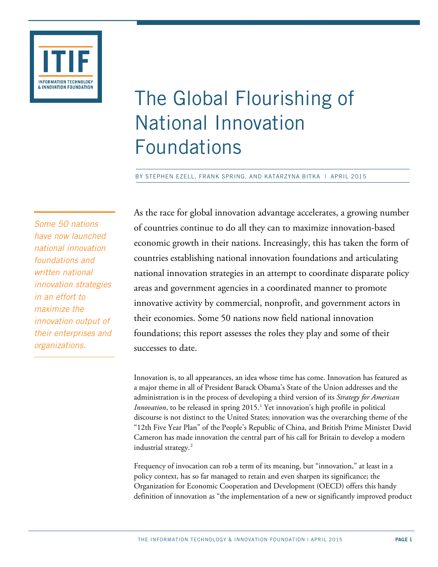

# The Global Flourishing of National Innovation Foundations

BY STEPHEN EZELL, FRANK SPRING, AND KATARZYNA BITKA | APRIL 2015

*Some 50 nations have now launched national innovation foundations and written national innovation strategies in an effort to maximize the innovation output of their enterprises and organizations.*

As the race for global innovation advantage accelerates, a growing number of countries continue to do all they can to maximize innovation-based economic growth in their nations. Increasingly, this has taken the form of countries establishing national innovation foundations and articulating national innovation strategies in an attempt to coordinate disparate policy areas and government agencies in a coordinated manner to promote innovative activity by commercial, nonprofit, and government actors in their economies. Some 50 nations now field national innovation foundations; this report assesses the roles they play and some of their successes to date.

Innovation is, to all appearances, an idea whose time has come. Innovation has featured as a major theme in all of President Barack Obama's State of the Union addresses and the administration is in the process of developing a third version of its *Strategy for American Innovation*, to be released in spring 20[1](#page-15-0)5.<sup>1</sup> Yet innovation's high profile in political discourse is not distinct to the United States; innovation was the overarching theme of the "12th Five Year Plan" of the People's Republic of China, and British Prime Minister David Cameron has made innovation the central part of his call for Britain to develop a modern industrial strategy. [2](#page-15-1)

Frequency of invocation can rob a term of its meaning, but "innovation," at least in a policy context, has so far managed to retain and even sharpen its significance; the Organization for Economic Cooperation and Development (OECD) offers this handy definition of innovation as "the implementation of a new or significantly improved product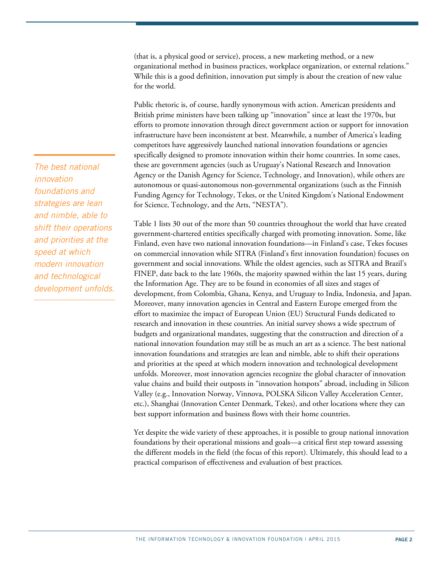(that is, a physical good or service), process, a new marketing method, or a new organizational method in business practices, workplace organization, or external relations." While this is a good definition, innovation put simply is about the creation of new value for the world.

Public rhetoric is, of course, hardly synonymous with action. American presidents and British prime ministers have been talking up "innovation" since at least the 1970s, but efforts to promote innovation through direct government action or support for innovation infrastructure have been inconsistent at best. Meanwhile, a number of America's leading competitors have aggressively launched national innovation foundations or agencies specifically designed to promote innovation within their home countries. In some cases, these are government agencies (such as Uruguay's National Research and Innovation Agency or the Danish Agency for Science, Technology, and Innovation), while others are autonomous or quasi-autonomous non-governmental organizations (such as the Finnish Funding Agency for Technology, Tekes, or the United Kingdom's National Endowment for Science, Technology, and the Arts, "NESTA").

Table 1 lists 30 out of the more than 50 countries throughout the world that have created government-chartered entities specifically charged with promoting innovation. Some, like Finland, even have two national innovation foundations—in Finland's case, Tekes focuses on commercial innovation while SITRA (Finland's first innovation foundation) focuses on government and social innovations. While the oldest agencies, such as SITRA and Brazil's FINEP, date back to the late 1960s, the majority spawned within the last 15 years, during the Information Age. They are to be found in economies of all sizes and stages of development, from Colombia, Ghana, Kenya, and Uruguay to India, Indonesia, and Japan. Moreover, many innovation agencies in Central and Eastern Europe emerged from the effort to maximize the impact of European Union (EU) Structural Funds dedicated to research and innovation in these countries. An initial survey shows a wide spectrum of budgets and organizational mandates, suggesting that the construction and direction of a national innovation foundation may still be as much an art as a science. The best national innovation foundations and strategies are lean and nimble, able to shift their operations and priorities at the speed at which modern innovation and technological development unfolds. Moreover, most innovation agencies recognize the global character of innovation value chains and build their outposts in "innovation hotspots" abroad, including in Silicon Valley (e.g., Innovation Norway, Vinnova, POLSKA Silicon Valley Acceleration Center, etc.), Shanghai (Innovation Center Denmark, Tekes), and other locations where they can best support information and business flows with their home countries.

Yet despite the wide variety of these approaches, it is possible to group national innovation foundations by their operational missions and goals—a critical first step toward assessing the different models in the field (the focus of this report). Ultimately, this should lead to a practical comparison of effectiveness and evaluation of best practices.

*The best national innovation foundations and strategies are lean and nimble, able to shift their operations and priorities at the speed at which modern innovation and technological development unfolds.*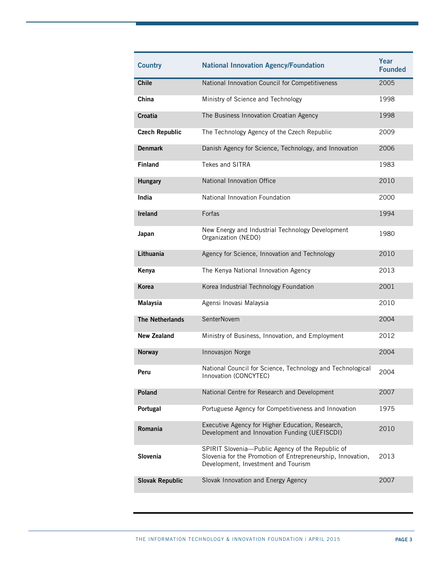| <b>Country</b>         | <b>National Innovation Agency/Foundation</b>                                                                                                           | Year<br><b>Founded</b> |
|------------------------|--------------------------------------------------------------------------------------------------------------------------------------------------------|------------------------|
| <b>Chile</b>           | National Innovation Council for Competitiveness                                                                                                        | 2005                   |
| China                  | Ministry of Science and Technology                                                                                                                     | 1998                   |
| Croatia                | The Business Innovation Croatian Agency                                                                                                                | 1998                   |
| <b>Czech Republic</b>  | The Technology Agency of the Czech Republic                                                                                                            | 2009                   |
| <b>Denmark</b>         | Danish Agency for Science, Technology, and Innovation                                                                                                  | 2006                   |
| <b>Finland</b>         | Tekes and SITRA                                                                                                                                        | 1983                   |
| <b>Hungary</b>         | National Innovation Office                                                                                                                             | 2010                   |
| India                  | National Innovation Foundation                                                                                                                         | 2000                   |
| <b>Ireland</b>         | Forfas                                                                                                                                                 | 1994                   |
| Japan                  | New Energy and Industrial Technology Development<br>Organization (NEDO)                                                                                | 1980                   |
| Lithuania              | Agency for Science, Innovation and Technology                                                                                                          | 2010                   |
| Kenya                  | The Kenya National Innovation Agency                                                                                                                   | 2013                   |
| <b>Korea</b>           | Korea Industrial Technology Foundation                                                                                                                 | 2001                   |
| Malaysia               | Agensi Inovasi Malaysia                                                                                                                                | 2010                   |
| <b>The Netherlands</b> | <b>SenterNovem</b>                                                                                                                                     | 2004                   |
| <b>New Zealand</b>     | Ministry of Business, Innovation, and Employment                                                                                                       | 2012                   |
| <b>Norway</b>          | Innovasjon Norge                                                                                                                                       | 2004                   |
| Peru                   | National Council for Science, Technology and Technological<br>Innovation (CONCYTEC)                                                                    | 2004                   |
| Poland                 | National Centre for Research and Development                                                                                                           | 2007                   |
| Portugal               | Portuguese Agency for Competitiveness and Innovation                                                                                                   | 1975                   |
| Romania                | Executive Agency for Higher Education, Research,<br>Development and Innovation Funding (UEFISCDI)                                                      | 2010                   |
| Slovenia               | SPIRIT Slovenia-Public Agency of the Republic of<br>Slovenia for the Promotion of Entrepreneurship, Innovation,<br>Development, Investment and Tourism | 2013                   |
| <b>Slovak Republic</b> | Slovak Innovation and Energy Agency                                                                                                                    | 2007                   |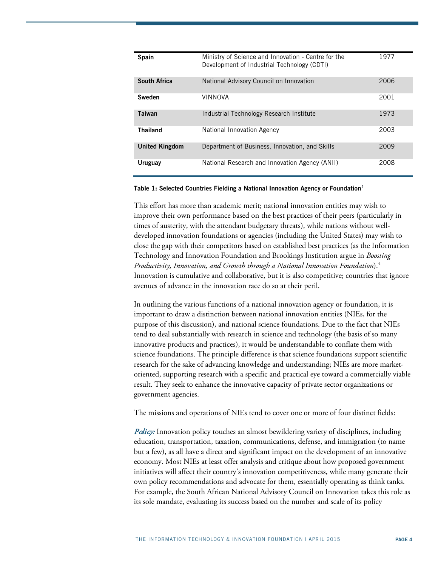| <b>Spain</b>          | Ministry of Science and Innovation - Centre for the<br>Development of Industrial Technology (CDTI) | 1977 |
|-----------------------|----------------------------------------------------------------------------------------------------|------|
| South Africa          | National Advisory Council on Innovation                                                            | 2006 |
| Sweden                | <b>VINNOVA</b>                                                                                     | 2001 |
| Taiwan                | Industrial Technology Research Institute                                                           | 1973 |
| <b>Thailand</b>       | National Innovation Agency                                                                         | 2003 |
| <b>United Kingdom</b> | Department of Business, Innovation, and Skills                                                     | 2009 |
| Uruguay               | National Research and Innovation Agency (ANII)                                                     | 2008 |

#### **Table 1: Selected Countries Fielding a National Innovation Agency or Foundation[3](#page-15-2)**

This effort has more than academic merit; national innovation entities may wish to improve their own performance based on the best practices of their peers (particularly in times of austerity, with the attendant budgetary threats), while nations without welldeveloped innovation foundations or agencies (including the United States) may wish to close the gap with their competitors based on established best practices (as the Information Technology and Innovation Foundation and Brookings Institution argue in *Boosting Productivity, Innovation, and Growth through a National Innovation Foundation*).[4](#page-15-3) Innovation is cumulative and collaborative, but it is also competitive; countries that ignore avenues of advance in the innovation race do so at their peril.

In outlining the various functions of a national innovation agency or foundation, it is important to draw a distinction between national innovation entities (NIEs, for the purpose of this discussion), and national science foundations. Due to the fact that NIEs tend to deal substantially with research in science and technology (the basis of so many innovative products and practices), it would be understandable to conflate them with science foundations. The principle difference is that science foundations support scientific research for the sake of advancing knowledge and understanding; NIEs are more marketoriented, supporting research with a specific and practical eye toward a commercially viable result. They seek to enhance the innovative capacity of private sector organizations or government agencies.

The missions and operations of NIEs tend to cover one or more of four distinct fields:

Policy: Innovation policy touches an almost bewildering variety of disciplines, including education, transportation, taxation, communications, defense, and immigration (to name but a few), as all have a direct and significant impact on the development of an innovative economy. Most NIEs at least offer analysis and critique about how proposed government initiatives will affect their country's innovation competitiveness, while many generate their own policy recommendations and advocate for them, essentially operating as think tanks. For example, the South African National Advisory Council on Innovation takes this role as its sole mandate, evaluating its success based on the number and scale of its policy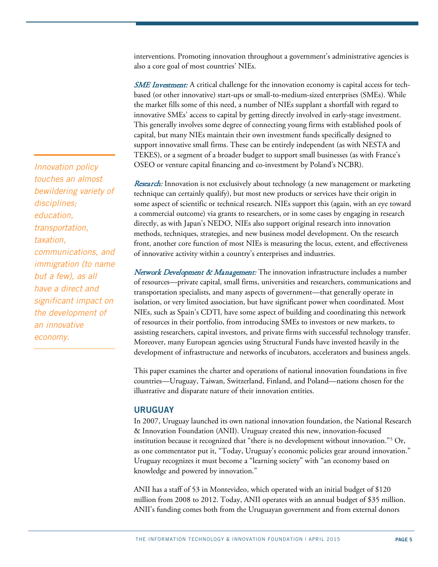interventions. Promoting innovation throughout a government's administrative agencies is also a core goal of most countries' NIEs.

**SME Investment:** A critical challenge for the innovation economy is capital access for techbased (or other innovative) start-ups or small-to-medium-sized enterprises (SMEs). While the market fills some of this need, a number of NIEs supplant a shortfall with regard to innovative SMEs' access to capital by getting directly involved in early-stage investment. This generally involves some degree of connecting young firms with established pools of capital, but many NIEs maintain their own investment funds specifically designed to support innovative small firms. These can be entirely independent (as with NESTA and TEKES), or a segment of a broader budget to support small businesses (as with France's OSEO or venture capital financing and co-investment by Poland's NCBR).

Research: Innovation is not exclusively about technology (a new management or marketing technique can certainly qualify), but most new products or services have their origin in some aspect of scientific or technical research. NIEs support this (again, with an eye toward a commercial outcome) via grants to researchers, or in some cases by engaging in research directly, as with Japan's NEDO. NIEs also support original research into innovation methods, techniques, strategies, and new business model development. On the research front, another core function of most NIEs is measuring the locus, extent, and effectiveness of innovative activity within a country's enterprises and industries.

Network Development & Management: The innovation infrastructure includes a number of resources—private capital, small firms, universities and researchers, communications and transportation specialists, and many aspects of government—that generally operate in isolation, or very limited association, but have significant power when coordinated. Most NIEs, such as Spain's CDTI, have some aspect of building and coordinating this network of resources in their portfolio, from introducing SMEs to investors or new markets, to assisting researchers, capital investors, and private firms with successful technology transfer. Moreover, many European agencies using Structural Funds have invested heavily in the development of infrastructure and networks of incubators, accelerators and business angels.

This paper examines the charter and operations of national innovation foundations in five countries—Uruguay, Taiwan, Switzerland, Finland, and Poland—nations chosen for the illustrative and disparate nature of their innovation entities.

#### **URUGUAY**

In 2007, Uruguay launched its own national innovation foundation, the National Research & Innovation Foundation (ANII). Uruguay created this new, innovation-focused institution because it recognized that "there is no development without innovation."[5](#page-15-4) Or, as one commentator put it, "Today, Uruguay's economic policies gear around innovation." Uruguay recognizes it must become a "learning society" with "an economy based on knowledge and powered by innovation."

ANII has a staff of 53 in Montevideo, which operated with an initial budget of \$120 million from 2008 to 2012. Today, ANII operates with an annual budget of \$35 million. ANII's funding comes both from the Uruguayan government and from external donors

*Innovation policy touches an almost bewildering variety of disciplines; education, transportation, taxation, communications, and immigration (to name but a few), as all have a direct and significant impact on the development of an innovative economy.*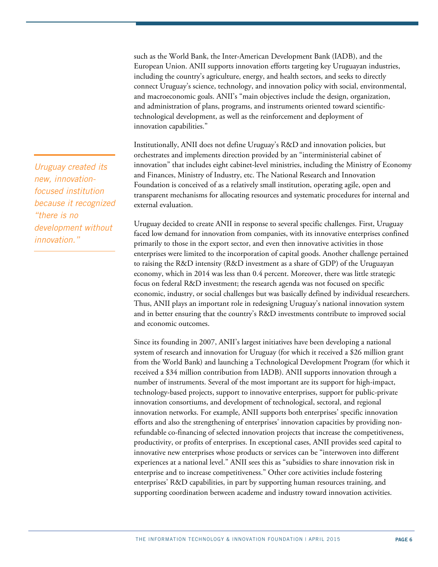such as the World Bank, the Inter-American Development Bank (IADB), and the European Union. ANII supports innovation efforts targeting key Uruguayan industries, including the country's agriculture, energy, and health sectors, and seeks to directly connect Uruguay's science, technology, and innovation policy with social, environmental, and macroeconomic goals. ANII's "main objectives include the design, organization, and administration of plans, programs, and instruments oriented toward scientifictechnological development, as well as the reinforcement and deployment of innovation capabilities."

Institutionally, ANII does not define Uruguay's R&D and innovation policies, but orchestrates and implements direction provided by an "interministerial cabinet of innovation" that includes eight cabinet-level ministries, including the Ministry of Economy and Finances, Ministry of Industry, etc. The National Research and Innovation Foundation is conceived of as a relatively small institution, operating agile, open and transparent mechanisms for allocating resources and systematic procedures for internal and external evaluation.

Uruguay decided to create ANII in response to several specific challenges. First, Uruguay faced low demand for innovation from companies, with its innovative enterprises confined primarily to those in the export sector, and even then innovative activities in those enterprises were limited to the incorporation of capital goods. Another challenge pertained to raising the R&D intensity (R&D investment as a share of GDP) of the Uruguayan economy, which in 2014 was less than 0.4 percent. Moreover, there was little strategic focus on federal R&D investment; the research agenda was not focused on specific economic, industry, or social challenges but was basically defined by individual researchers. Thus, ANII plays an important role in redesigning Uruguay's national innovation system and in better ensuring that the country's R&D investments contribute to improved social and economic outcomes.

Since its founding in 2007, ANII's largest initiatives have been developing a national system of research and innovation for Uruguay (for which it received a \$26 million grant from the World Bank) and launching a Technological Development Program (for which it received a \$34 million contribution from IADB). ANII supports innovation through a number of instruments. Several of the most important are its support for high-impact, technology-based projects, support to innovative enterprises, support for public-private innovation consortiums, and development of technological, sectoral, and regional innovation networks. For example, ANII supports both enterprises' specific innovation efforts and also the strengthening of enterprises' innovation capacities by providing nonrefundable co-financing of selected innovation projects that increase the competitiveness, productivity, or profits of enterprises. In exceptional cases, ANII provides seed capital to innovative new enterprises whose products or services can be "interwoven into different experiences at a national level." ANII sees this as "subsidies to share innovation risk in enterprise and to increase competitiveness." Other core activities include fostering enterprises' R&D capabilities, in part by supporting human resources training, and supporting coordination between academe and industry toward innovation activities.

*Uruguay created its new, innovationfocused institution because it recognized "there is no development without innovation."*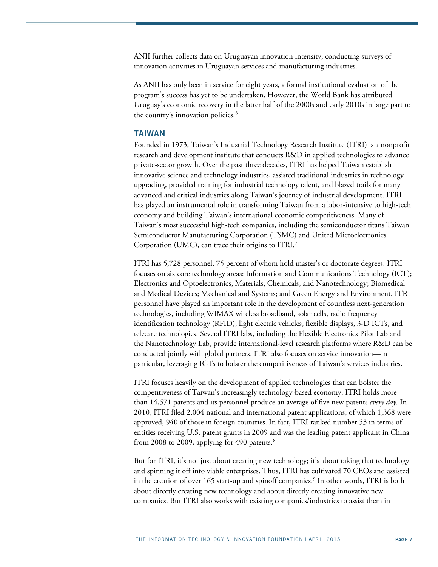ANII further collects data on Uruguayan innovation intensity, conducting surveys of innovation activities in Uruguayan services and manufacturing industries.

As ANII has only been in service for eight years, a formal institutional evaluation of the program's success has yet to be undertaken. However, the World Bank has attributed Uruguay's economic recovery in the latter half of the 2000s and early 2010s in large part to the country's innovation policies.<sup>[6](#page-15-5)</sup>

### **TAIWAN**

Founded in 1973, Taiwan's Industrial Technology Research Institute (ITRI) is a nonprofit research and development institute that conducts R&D in applied technologies to advance private-sector growth. Over the past three decades, ITRI has helped Taiwan establish innovative science and technology industries, assisted traditional industries in technology upgrading, provided training for industrial technology talent, and blazed trails for many advanced and critical industries along Taiwan's journey of industrial development. ITRI has played an instrumental role in transforming Taiwan from a labor-intensive to high-tech economy and building Taiwan's international economic competitiveness. Many of Taiwan's most successful high-tech companies, including the semiconductor titans Taiwan Semiconductor Manufacturing Corporation (TSMC) and United Microelectronics Corporation (UMC), can trace their origins to ITRI.<sup>[7](#page-15-6)</sup>

ITRI has 5,728 personnel, 75 percent of whom hold master's or doctorate degrees. ITRI focuses on six core technology areas: Information and Communications Technology (ICT); Electronics and Optoelectronics; Materials, Chemicals, and Nanotechnology; Biomedical and Medical Devices; Mechanical and Systems; and Green Energy and Environment. ITRI personnel have played an important role in the development of countless next-generation technologies, including WIMAX wireless broadband, solar cells, radio frequency identification technology (RFID), light electric vehicles, flexible displays, 3-D ICTs, and telecare technologies. Several ITRI labs, including the Flexible Electronics Pilot Lab and the Nanotechnology Lab, provide international-level research platforms where R&D can be conducted jointly with global partners. ITRI also focuses on service innovation—in particular, leveraging ICTs to bolster the competitiveness of Taiwan's services industries.

ITRI focuses heavily on the development of applied technologies that can bolster the competitiveness of Taiwan's increasingly technology-based economy. ITRI holds more than 14,571 patents and its personnel produce an average of five new patents *every day.* In 2010, ITRI filed 2,004 national and international patent applications, of which 1,368 were approved, 940 of those in foreign countries. In fact, ITRI ranked number 53 in terms of entities receiving U.S. patent grants in 2009 and was the leading patent applicant in China from 200[8](#page-15-7) to 2009, applying for 490 patents.<sup>8</sup>

But for ITRI, it's not just about creating new technology; it's about taking that technology and spinning it off into viable enterprises. Thus, ITRI has cultivated 70 CEOs and assisted in the creation of over  $165$  start-up and spinoff companies.<sup>[9](#page-15-8)</sup> In other words, ITRI is both about directly creating new technology and about directly creating innovative new companies. But ITRI also works with existing companies/industries to assist them in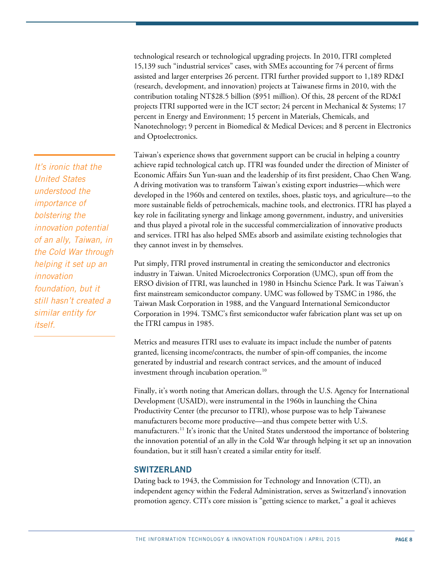technological research or technological upgrading projects. In 2010, ITRI completed 15,139 such "industrial services" cases, with SMEs accounting for 74 percent of firms assisted and larger enterprises 26 percent. ITRI further provided support to 1,189 RD&I (research, development, and innovation) projects at Taiwanese firms in 2010, with the contribution totaling NT\$28.5 billion (\$951 million). Of this, 28 percent of the RD&I projects ITRI supported were in the ICT sector; 24 percent in Mechanical & Systems; 17 percent in Energy and Environment; 15 percent in Materials, Chemicals, and Nanotechnology; 9 percent in Biomedical & Medical Devices; and 8 percent in Electronics and Optoelectronics.

Taiwan's experience shows that government support can be crucial in helping a country achieve rapid technological catch up. ITRI was founded under the direction of Minister of Economic Affairs Sun Yun-suan and the leadership of its first president, Chao Chen Wang. A driving motivation was to transform Taiwan's existing export industries—which were developed in the 1960s and centered on textiles, shoes, plastic toys, and agriculture—to the more sustainable fields of petrochemicals, machine tools, and electronics. ITRI has played a key role in facilitating synergy and linkage among government, industry, and universities and thus played a pivotal role in the successful commercialization of innovative products and services. ITRI has also helped SMEs absorb and assimilate existing technologies that they cannot invest in by themselves.

Put simply, ITRI proved instrumental in creating the semiconductor and electronics industry in Taiwan. United Microelectronics Corporation (UMC), spun off from the ERSO division of ITRI, was launched in 1980 in Hsinchu Science Park. It was Taiwan's first mainstream semiconductor company. UMC was followed by TSMC in 1986, the Taiwan Mask Corporation in 1988, and the Vanguard International Semiconductor Corporation in 1994. TSMC's first semiconductor wafer fabrication plant was set up on the ITRI campus in 1985.

Metrics and measures ITRI uses to evaluate its impact include the number of patents granted, licensing income/contracts, the number of spin-off companies, the income generated by industrial and research contract services, and the amount of induced investment through incubation operation.<sup>10</sup>

Finally, it's worth noting that American dollars, through the U.S. Agency for International Development (USAID), were instrumental in the 1960s in launching the China Productivity Center (the precursor to ITRI), whose purpose was to help Taiwanese manufacturers become more productive—and thus compete better with U.S. manufacturers.<sup>[11](#page-15-10)</sup> It's ironic that the United States understood the importance of bolstering the innovation potential of an ally in the Cold War through helping it set up an innovation foundation, but it still hasn't created a similar entity for itself.

## **SWITZERLAND**

Dating back to 1943, the Commission for Technology and Innovation (CTI), an independent agency within the Federal Administration, serves as Switzerland's innovation promotion agency. CTI's core mission is "getting science to market," a goal it achieves

*It's ironic that the United States understood the importance of bolstering the innovation potential of an ally, Taiwan, in the Cold War through helping it set up an innovation foundation, but it still hasn't created a similar entity for itself.*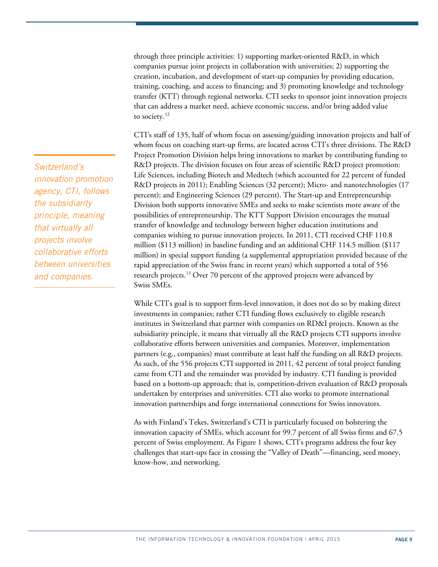through three principle activities: 1) supporting market-oriented R&D, in which companies pursue joint projects in collaboration with universities; 2) supporting the creation, incubation, and development of start-up companies by providing education, training, coaching, and access to financing; and 3) promoting knowledge and technology transfer (KTT) through regional networks. CTI seeks to sponsor joint innovation projects that can address a market need, achieve economic success, and/or bring added value to society.<sup>[12](#page-15-11)</sup>

CTI's staff of 135, half of whom focus on assessing/guiding innovation projects and half of whom focus on coaching start-up firms, are located across CTI's three divisions. The R&D Project Promotion Division helps bring innovations to market by contributing funding to R&D projects. The division focuses on four areas of scientific R&D project promotion: Life Sciences, including Biotech and Medtech (which accounted for 22 percent of funded R&D projects in 2011); Enabling Sciences (32 percent); Micro- and nanotechnologies (17 percent); and Engineering Sciences (29 percent). The Start-up and Entrepreneurship Division both supports innovative SMEs and seeks to make scientists more aware of the possibilities of entrepreneurship. The KTT Support Division encourages the mutual transfer of knowledge and technology between higher education institutions and companies wishing to pursue innovation projects. In 2011, CTI received CHF 110.8 million (\$113 million) in baseline funding and an additional CHF 114.5 million (\$117 million) in special support funding (a supplemental appropriation provided because of the rapid appreciation of the Swiss franc in recent years) which supported a total of 556 research projects.<sup>[13](#page-15-12)</sup> Over 70 percent of the approved projects were advanced by Swiss SMEs.

While CTI's goal is to support firm-level innovation, it does not do so by making direct investments in companies; rather CTI funding flows exclusively to eligible research institutes in Switzerland that partner with companies on RD&I projects. Known as the subsidiarity principle, it means that virtually all the R&D projects CTI supports involve collaborative efforts between universities and companies. Moreover, implementation partners (e.g., companies) must contribute at least half the funding on all R&D projects. As such, of the 556 projects CTI supported in 2011, 42 percent of total project funding came from CTI and the remainder was provided by industry. CTI funding is provided based on a bottom-up approach; that is, competition-driven evaluation of R&D proposals undertaken by enterprises and universities. CTI also works to promote international innovation partnerships and forge international connections for Swiss innovators.

As with Finland's Tekes, Switzerland's CTI is particularly focused on bolstering the innovation capacity of SMEs, which account for 99.7 percent of all Swiss firms and 67.5 percent of Swiss employment. As Figure 1 shows, CTI's programs address the four key challenges that start-ups face in crossing the "Valley of Death"—financing, seed money, know-how, and networking.

*Switzerland's innovation promotion agency, CTI, follows the subsidiarity principle, meaning that virtually all projects involve collaborative efforts between universities and companies.*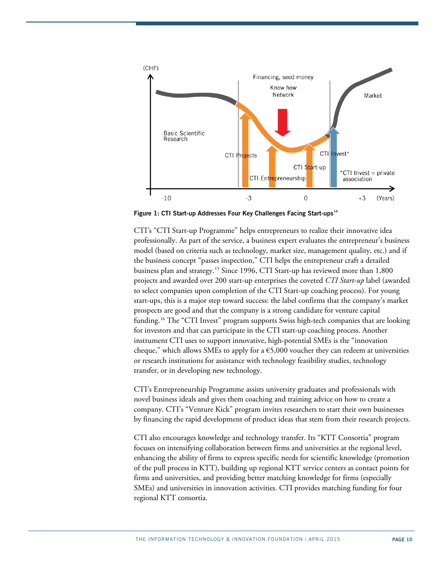

**Figure 1: CTI Start-up Addresses Four Key Challenges Facing Start-ups[14](#page-15-13)**

CTI's "CTI Start-up Programme" helps entrepreneurs to realize their innovative idea professionally. As part of the service, a business expert evaluates the entrepreneur's business model (based on criteria such as technology, market size, management quality, etc.) and if the business concept "passes inspection," CTI helps the entrepreneur craft a detailed business plan and strategy.<sup>[15](#page-15-14)</sup> Since 1996, CTI Start-up has reviewed more than  $1,800$ projects and awarded over 200 start-up enterprises the coveted *CTI Start-up* label (awarded to select companies upon completion of the CTI Start-up coaching process). For young start-ups, this is a major step toward success: the label confirms that the company's market prospects are good and that the company is a strong candidate for venture capital funding.[16](#page-15-15) The "CTI Invest" program supports Swiss high-tech companies that are looking for investors and that can participate in the CTI start-up coaching process. Another instrument CTI uses to support innovative, high-potential SMEs is the "innovation cheque," which allows SMEs to apply for a  $\epsilon$ 5,000 voucher they can redeem at universities or research institutions for assistance with technology feasibility studies, technology transfer, or in developing new technology.

CTI's Entrepreneurship Programme assists university graduates and professionals with novel business ideals and gives them coaching and training advice on how to create a company. CTI's "Venture Kick" program invites researchers to start their own businesses by financing the rapid development of product ideas that stem from their research projects.

CTI also encourages knowledge and technology transfer. Its "KTT Consortia" program focuses on intensifying collaboration between firms and universities at the regional level, enhancing the ability of firms to express specific needs for scientific knowledge (promotion of the pull process in KTT), building up regional KTT service centers as contact points for firms and universities, and providing better matching knowledge for firms (especially SMEs) and universities in innovation activities. CTI provides matching funding for four regional KTT consortia.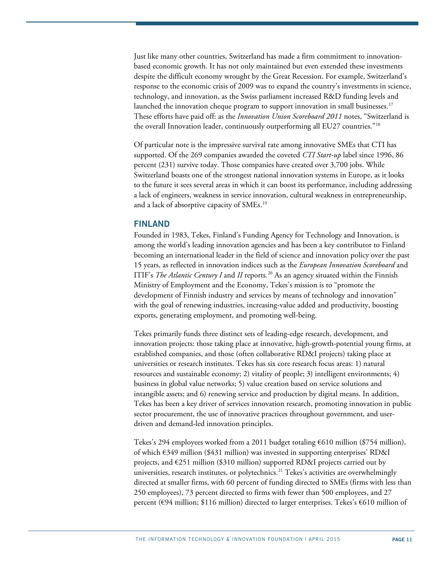Just like many other countries, Switzerland has made a firm commitment to innovationbased economic growth. It has not only maintained but even extended these investments despite the difficult economy wrought by the Great Recession. For example, Switzerland's response to the economic crisis of 2009 was to expand the country's investments in science, technology, and innovation, as the Swiss parliament increased R&D funding levels and launched the innovation cheque program to support innovation in small businesses.<sup>17</sup> These efforts have paid off: as the *Innovation Union Scoreboard 2011* notes, "Switzerland is the overall Innovation leader, continuously outperforming all EU27 countries."[18](#page-15-17)

Of particular note is the impressive survival rate among innovative SMEs that CTI has supported. Of the 269 companies awarded the coveted *CTI Start-up* label since 1996, 86 percent (231) survive today. Those companies have created over 3,700 jobs. While Switzerland boasts one of the strongest national innovation systems in Europe, as it looks to the future it sees several areas in which it can boost its performance, including addressing a lack of engineers, weakness in service innovation, cultural weakness in entrepreneurship, and a lack of absorptive capacity of SMEs.<sup>[19](#page-15-18)</sup>

## **FINLAND**

Founded in 1983, Tekes, Finland's Funding Agency for Technology and Innovation, is among the world's leading innovation agencies and has been a key contributor to Finland becoming an international leader in the field of science and innovation policy over the past 15 years, as reflected in innovation indices such as the *European Innovation Scoreboard* and ITIF's *The Atlantic Century I* and *II* reports*.* [20](#page-15-19) As an agency situated within the Finnish Ministry of Employment and the Economy, Tekes's mission is to "promote the development of Finnish industry and services by means of technology and innovation" with the goal of renewing industries, increasing-value added and productivity, boosting exports, generating employment, and promoting well-being.

Tekes primarily funds three distinct sets of leading-edge research, development, and innovation projects: those taking place at innovative, high-growth-potential young firms, at established companies, and those (often collaborative RD&I projects) taking place at universities or research institutes. Tekes has six core research focus areas: 1) natural resources and sustainable economy; 2) vitality of people; 3) intelligent environments; 4) business in global value networks; 5) value creation based on service solutions and intangible assets; and 6) renewing service and production by digital means. In addition, Tekes has been a key driver of services innovation research, promoting innovation in public sector procurement, the use of innovative practices throughout government, and userdriven and demand-led innovation principles.

Tekes's 294 employees worked from a 2011 budget totaling €610 million (\$754 million), of which €349 million (\$431 million) was invested in supporting enterprises' RD&I projects, and  $\epsilon$ 251 million (\$310 million) supported RD&I projects carried out by universities, research institutes, or polytechnics.<sup>[21](#page-15-20)</sup> Tekes's activities are overwhelmingly directed at smaller firms, with 60 percent of funding directed to SMEs (firms with less than 250 employees), 73 percent directed to firms with fewer than 500 employees, and 27 percent (€94 million; \$116 million) directed to larger enterprises. Tekes's €610 million of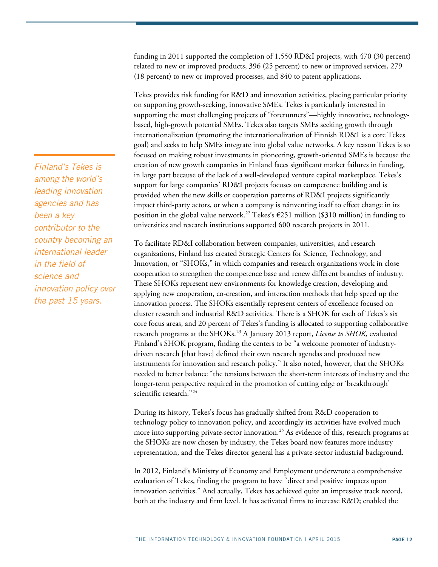funding in 2011 supported the completion of 1,550 RD&I projects, with 470 (30 percent) related to new or improved products, 396 (25 percent) to new or improved services, 279 (18 percent) to new or improved processes, and 840 to patent applications.

Tekes provides risk funding for R&D and innovation activities, placing particular priority on supporting growth-seeking, innovative SMEs. Tekes is particularly interested in supporting the most challenging projects of "forerunners"—highly innovative, technologybased, high-growth potential SMEs. Tekes also targets SMEs seeking growth through internationalization (promoting the internationalization of Finnish RD&I is a core Tekes goal) and seeks to help SMEs integrate into global value networks. A key reason Tekes is so focused on making robust investments in pioneering, growth-oriented SMEs is because the creation of new growth companies in Finland faces significant market failures in funding, in large part because of the lack of a well-developed venture capital marketplace. Tekes's support for large companies' RD&I projects focuses on competence building and is provided when the new skills or cooperation patterns of RD&I projects significantly impact third-party actors, or when a company is reinventing itself to effect change in its position in the global value network.<sup>22</sup> Tekes's  $\epsilon$ 251 million (\$310 million) in funding to universities and research institutions supported 600 research projects in 2011.

To facilitate RD&I collaboration between companies, universities, and research organizations, Finland has created Strategic Centers for Science, Technology, and Innovation, or "SHOKs," in which companies and research organizations work in close cooperation to strengthen the competence base and renew different branches of industry. These SHOKs represent new environments for knowledge creation, developing and applying new cooperation, co-creation, and interaction methods that help speed up the innovation process. The SHOKs essentially represent centers of excellence focused on cluster research and industrial R&D activities. There is a SHOK for each of Tekes's six core focus areas, and 20 percent of Tekes's funding is allocated to supporting collaborative research programs at the SHOKs.<sup>[23](#page-15-22)</sup> A January 2013 report, *License to SHOK*, evaluated Finland's SHOK program, finding the centers to be "a welcome promoter of industrydriven research [that have] defined their own research agendas and produced new instruments for innovation and research policy." It also noted, however, that the SHOKs needed to better balance "the tensions between the short-term interests of industry and the longer-term perspective required in the promotion of cutting edge or 'breakthrough' scientific research."<sup>[24](#page-15-23)</sup>

During its history, Tekes's focus has gradually shifted from R&D cooperation to technology policy to innovation policy, and accordingly its activities have evolved much more into supporting private-sector innovation.<sup>[25](#page-15-24)</sup> As evidence of this, research programs at the SHOKs are now chosen by industry, the Tekes board now features more industry representation, and the Tekes director general has a private-sector industrial background.

In 2012, Finland's Ministry of Economy and Employment underwrote a comprehensive evaluation of Tekes, finding the program to have "direct and positive impacts upon innovation activities." And actually, Tekes has achieved quite an impressive track record, both at the industry and firm level. It has activated firms to increase R&D; enabled the

*Finland's Tekes is among the world's leading innovation agencies and has been a key contributor to the country becoming an international leader in the field of science and innovation policy over the past 15 years.*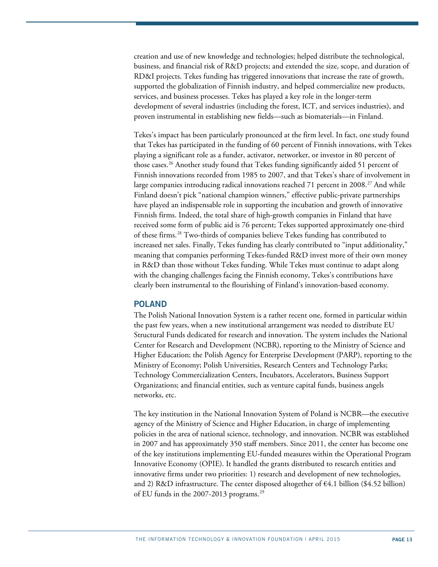creation and use of new knowledge and technologies; helped distribute the technological, business, and financial risk of R&D projects; and extended the size, scope, and duration of RD&I projects. Tekes funding has triggered innovations that increase the rate of growth, supported the globalization of Finnish industry, and helped commercialize new products, services, and business processes. Tekes has played a key role in the longer-term development of several industries (including the forest, ICT, and services industries), and proven instrumental in establishing new fields—such as biomaterials—in Finland.

Tekes's impact has been particularly pronounced at the firm level. In fact, one study found that Tekes has participated in the funding of 60 percent of Finnish innovations, with Tekes playing a significant role as a funder, activator, networker, or investor in 80 percent of those cases.[26](#page-15-25) Another study found that Tekes funding significantly aided 51 percent of Finnish innovations recorded from 1985 to 2007, and that Tekes's share of involvement in large companies introducing radical innovations reached 71 percent in  $2008.<sup>27</sup>$  $2008.<sup>27</sup>$  $2008.<sup>27</sup>$  And while Finland doesn't pick "national champion winners," effective public-private partnerships have played an indispensable role in supporting the incubation and growth of innovative Finnish firms. Indeed, the total share of high-growth companies in Finland that have received some form of public aid is 76 percent; Tekes supported approximately one-third of these firms.[28](#page-15-27) Two-thirds of companies believe Tekes funding has contributed to increased net sales. Finally, Tekes funding has clearly contributed to "input additionality," meaning that companies performing Tekes-funded R&D invest more of their own money in R&D than those without Tekes funding. While Tekes must continue to adapt along with the changing challenges facing the Finnish economy, Tekes's contributions have clearly been instrumental to the flourishing of Finland's innovation-based economy.

#### **POLAND**

The Polish National Innovation System is a rather recent one, formed in particular within the past few years, when a new institutional arrangement was needed to distribute EU Structural Funds dedicated for research and innovation. The system includes the National Center for Research and Development (NCBR), reporting to the Ministry of Science and Higher Education; the Polish Agency for Enterprise Development (PARP), reporting to the Ministry of Economy; Polish Universities, Research Centers and Technology Parks; Technology Commercialization Centers, Incubators, Accelerators, Business Support Organizations; and financial entities, such as venture capital funds, business angels networks, etc.

The key institution in the National Innovation System of Poland is NCBR—the executive agency of the Ministry of Science and Higher Education, in charge of implementing policies in the area of national science, technology, and innovation. NCBR was established in 2007 and has approximately 350 staff members. Since 2011, the center has become one of the key institutions implementing EU-funded measures within the Operational Program Innovative Economy (OPIE). It handled the grants distributed to research entities and innovative firms under two priorities: 1) research and development of new technologies, and 2) R&D infrastructure. The center disposed altogether of  $\epsilon$ 4.1 billion (\$4.52 billion) of EU funds in the 2007-2013 programs.<sup>[29](#page-15-28)</sup>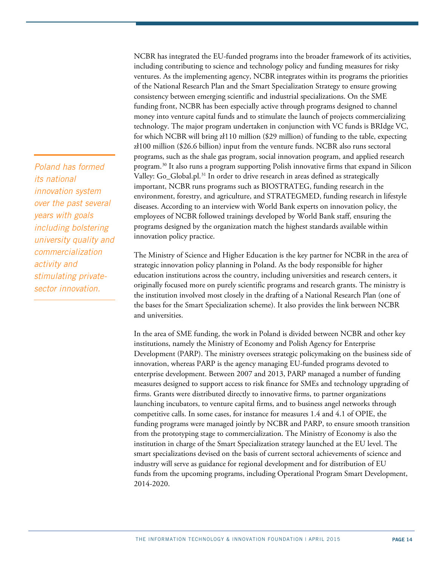*Poland has formed its national innovation system over the past several years with goals including bolstering university quality and commercialization activity and stimulating privatesector innovation.*

NCBR has integrated the EU-funded programs into the broader framework of its activities, including contributing to science and technology policy and funding measures for risky ventures. As the implementing agency, NCBR integrates within its programs the priorities of the National Research Plan and the Smart Specialization Strategy to ensure growing consistency between emerging scientific and industrial specializations. On the SME funding front, NCBR has been especially active through programs designed to channel money into venture capital funds and to stimulate the launch of projects commercializing technology. The major program undertaken in conjunction with VC funds is BRIdge VC, for which NCBR will bring zł110 million (\$29 million) of funding to the table, expecting zł100 million (\$26.6 billion) input from the venture funds. NCBR also runs sectoral programs, such as the shale gas program, social innovation program, and applied research program.[30](#page-15-29) It also runs a program supporting Polish innovative firms that expand in Silicon Valley: Go\_Global.pl.<sup>[31](#page-15-30)</sup> In order to drive research in areas defined as strategically important, NCBR runs programs such as BIOSTRATEG, funding research in the environment, forestry, and agriculture, and STRATEGMED, funding research in lifestyle diseases. According to an interview with World Bank experts on innovation policy, the employees of NCBR followed trainings developed by World Bank staff, ensuring the programs designed by the organization match the highest standards available within innovation policy practice.

The Ministry of Science and Higher Education is the key partner for NCBR in the area of strategic innovation policy planning in Poland. As the body responsible for higher education institutions across the country, including universities and research centers, it originally focused more on purely scientific programs and research grants. The ministry is the institution involved most closely in the drafting of a National Research Plan (one of the bases for the Smart Specialization scheme). It also provides the link between NCBR and universities.

In the area of SME funding, the work in Poland is divided between NCBR and other key institutions, namely the Ministry of Economy and Polish Agency for Enterprise Development (PARP). The ministry oversees strategic policymaking on the business side of innovation, whereas PARP is the agency managing EU-funded programs devoted to enterprise development. Between 2007 and 2013, PARP managed a number of funding measures designed to support access to risk finance for SMEs and technology upgrading of firms. Grants were distributed directly to innovative firms, to partner organizations launching incubators, to venture capital firms, and to business angel networks through competitive calls. In some cases, for instance for measures 1.4 and 4.1 of OPIE, the funding programs were managed jointly by NCBR and PARP, to ensure smooth transition from the prototyping stage to commercialization. The Ministry of Economy is also the institution in charge of the Smart Specialization strategy launched at the EU level. The smart specializations devised on the basis of current sectoral achievements of science and industry will serve as guidance for regional development and for distribution of EU funds from the upcoming programs, including Operational Program Smart Development, 2014-2020.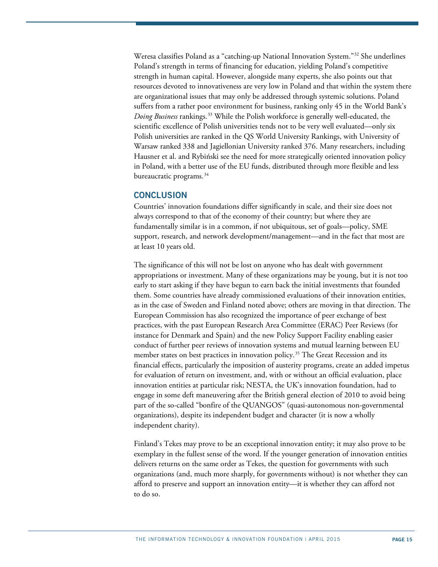Weresa classifies Poland as a "catching-up National Innovation System.["32](#page-15-31) She underlines Poland's strength in terms of financing for education, yielding Poland's competitive strength in human capital. However, alongside many experts, she also points out that resources devoted to innovativeness are very low in Poland and that within the system there are organizational issues that may only be addressed through systemic solutions. Poland suffers from a rather poor environment for business, ranking only 45 in the World Bank's *Doing Business* rankings. [33](#page-15-32) While the Polish workforce is generally well-educated, the scientific excellence of Polish universities tends not to be very well evaluated—only six Polish universities are ranked in the QS World University Rankings, with University of Warsaw ranked 338 and Jagiellonian University ranked 376. Many researchers, including Hausner et al. and Rybiński see the need for more strategically oriented innovation policy in Poland, with a better use of the EU funds, distributed through more flexible and less bureaucratic programs.<sup>[34](#page-15-33)</sup>

#### **CONCLUSION**

Countries' innovation foundations differ significantly in scale, and their size does not always correspond to that of the economy of their country; but where they are fundamentally similar is in a common, if not ubiquitous, set of goals—policy, SME support, research, and network development/management—and in the fact that most are at least 10 years old.

The significance of this will not be lost on anyone who has dealt with government appropriations or investment. Many of these organizations may be young, but it is not too early to start asking if they have begun to earn back the initial investments that founded them. Some countries have already commissioned evaluations of their innovation entities, as in the case of Sweden and Finland noted above; others are moving in that direction. The European Commission has also recognized the importance of peer exchange of best practices, with the past European Research Area Committee (ERAC) Peer Reviews (for instance for Denmark and Spain) and the new Policy Support Facility enabling easier conduct of further peer reviews of innovation systems and mutual learning between EU member states on best practices in innovation policy.<sup>[35](#page-15-34)</sup> The Great Recession and its financial effects, particularly the imposition of austerity programs, create an added impetus for evaluation of return on investment, and, with or without an official evaluation, place innovation entities at particular risk; NESTA, the UK's innovation foundation, had to engage in some deft maneuvering after the British general election of 2010 to avoid being part of the so-called "bonfire of the QUANGOS" (quasi-autonomous non-governmental organizations), despite its independent budget and character (it is now a wholly independent charity).

Finland's Tekes may prove to be an exceptional innovation entity; it may also prove to be exemplary in the fullest sense of the word. If the younger generation of innovation entities delivers returns on the same order as Tekes, the question for governments with such organizations (and, much more sharply, for governments without) is not whether they can afford to preserve and support an innovation entity—it is whether they can afford not to do so.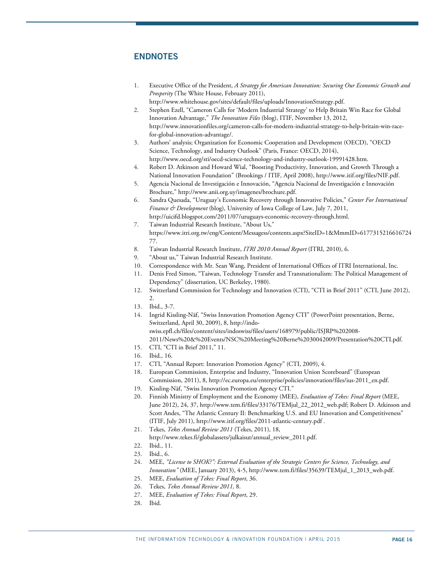## <span id="page-15-28"></span>**ENDNOTES**

- <span id="page-15-29"></span><span id="page-15-0"></span>1. Executive Office of the President, *A Strategy for American Innovation: Securing Our Economic Growth and Prosperity* (The White House, February 2011), http://www.whitehouse.gov/sites/default/files/uploads/InnovationStrategy.pdf.
- <span id="page-15-31"></span><span id="page-15-30"></span><span id="page-15-1"></span>2. Stephen Ezell, "Cameron Calls for 'Modern Industrial Strategy' to Help Britain Win Race for Global Innovation Advantage," *The Innovation Files* (blog), ITIF, November 13, 2012, http://www.innovationfiles.org/cameron-calls-for-modern-industrial-strategy-to-help-britain-win-racefor-global-innovation-advantage/.
- <span id="page-15-32"></span><span id="page-15-2"></span>3. Authors' analysis; Organization for Economic Cooperation and Development (OECD), "OECD Science, Technology, and Industry Outlook" (Paris, France: OECD, 2014), http://www.oecd.org/sti/oecd-science-technology-and-industry-outlook-19991428.htm.
- <span id="page-15-33"></span><span id="page-15-3"></span>4. Robert D. Atkinson and Howard Wial, "Boosting Productivity, Innovation, and Growth Through a National Innovation Foundation" (Brookings / ITIF*,* April 2008), http://www.itif.org/files/NIF.pdf.
- <span id="page-15-34"></span><span id="page-15-4"></span>5. Agencia Nacional de Investigación e Innovación, "Agencia Nacional de Investigación e Innovación Brochure," http://www.anii.org.uy/imagenes/brochure.pdf.
- <span id="page-15-5"></span>6. Sandra Quesada, "Uruguay's Economic Recovery through Innovative Policies," *Center For International Finance & Development* (blog), University of Iowa College of Law, July 7, 2011, http://uicifd.blogspot.com/2011/07/uruguays-economic-recovery-through.html.
- <span id="page-15-6"></span>7. Taiwan Industrial Research Institute, "About Us," https://www.itri.org.tw/eng/Content/Messagess/contents.aspx?SiteID=1&MmmID=6177315216616724 77.
- <span id="page-15-7"></span>8. Taiwan Industrial Research Institute, *ITRI 2010 Annual Report* (ITRI, 2010), 6.
- 9. "About us," Taiwan Industrial Research Institute.
- <span id="page-15-10"></span><span id="page-15-9"></span><span id="page-15-8"></span>10. Correspondence with Mr. Sean Wang, President of International Offices of ITRI International, Inc.
- 11. Denis Fred Simon, "Taiwan, Technology Transfer and Transnationalism: The Political Management of Dependency" (dissertation, UC Berkeley, 1980).
- <span id="page-15-11"></span>12. Switzerland Commission for Technology and Innovation (CTI), "CTI in Brief 2011" (CTI, June 2012),  $\mathcal{L}$
- <span id="page-15-13"></span><span id="page-15-12"></span>13. Ibid., 3-7.
- 14. Ingrid Kissling-Näf, "Swiss Innovation Promotion Agency CTI" (PowerPoint presentation, Berne, Switzerland, April 30, 2009), 8, http://indo
	- swiss.epfl.ch/files/content/sites/indoswiss/files/users/168979/public/ISJRP%202008- 2011/News%20&%20Events/NSC%20Meeting%20Berne%2030042009/Presentation%20CTI.pdf.
- <span id="page-15-14"></span>15. CTI, "CTI in Brief 2011," 11.
- <span id="page-15-15"></span>16. Ibid., 16.
- <span id="page-15-17"></span><span id="page-15-16"></span>17. CTI, "Annual Report: Innovation Promotion Agency" (CTI, 2009), 4.
- 18. European Commission, Enterprise and Industry, "Innovation Union Scoreboard" (European Commission, 2011), 8, http://ec.europa.eu/enterprise/policies/innovation/files/ius-2011\_en.pdf.
- <span id="page-15-18"></span>19. Kissling-Näf, "Swiss Innovation Promotion Agency CTI."
- <span id="page-15-19"></span>20. Finnish Ministry of Employment and the Economy (MEE), *Evaluation of Tekes: Final Report* (MEE, June 2012), 24, 37, http://www.tem.fi/files/33176/TEMjul\_22\_2012\_web.pdf; Robert D. Atkinson and Scott Andes, "The Atlantic Century II: Benchmarking U.S. and EU Innovation and Competitiveness" (ITIF, July 2011), http://www.itif.org/files/2011-atlantic-century.pdf .
- <span id="page-15-20"></span>21. Tekes, *Tekes Annual Review 2011* (Tekes, 2011), 18,
- http://www.tekes.fi/globalassets/julkaisut/annual\_review\_2011.pdf.
- 22. Ibid., 11.
- <span id="page-15-23"></span><span id="page-15-22"></span><span id="page-15-21"></span>23. Ibid., 6.
- 24. MEE, *"License to SHOK?": External Evaluation of the Strategic Centers for Science, Technology, and Innovation"* (MEE, January 2013), 4-5, http://www.tem.fi/files/35639/TEMjul\_1\_2013\_web.pdf.
- <span id="page-15-24"></span>25. MEE, *Evaluation of Tekes: Final Report*, 36.
- <span id="page-15-26"></span><span id="page-15-25"></span>26. Tekes, *Tekes Annual Review 2011,* 8.
- 27. MEE, *Evaluation of Tekes: Final Report*, 29.
- <span id="page-15-27"></span>28. Ibid.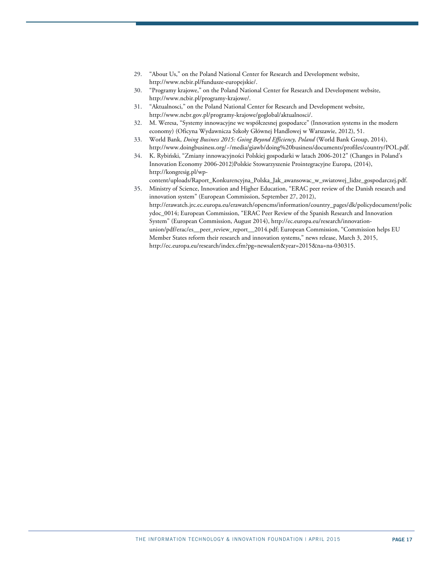- 29. "About Us," on the Poland National Center for Research and Development website, http://www.ncbir.pl/fundusze-europejskie/.
- 30. "Programy krajowe," on the Poland National Center for Research and Development website, http://www.ncbir.pl/programy-krajowe/.
- 31. "Aktualnosci," on the Poland National Center for Research and Development website, http://www.ncbr.gov.pl/programy-krajowe/goglobal/aktualnosci/.
- 32. M. Weresa, "Systemy innowacyjne we współczesnej gospodarce" (Innovation systems in the modern economy) (Oficyna Wydawnicza Szkoły Głównej Handlowej w Warszawie, 2012), 51.
- 33. World Bank, *Doing Business 2015: Going Beyond Efficiency, Poland* (World Bank Group, 2014), http://www.doingbusiness.org/~/media/giawb/doing%20business/documents/profiles/country/POL.pdf.
- 34. K. Rybiński, "Zmiany innowacyjności Polskiej gospodarki w latach 2006-2012" (Changes in Poland's Innovation Economy 2006-2012)Polskie Stowarzyszenie Prointegracyjne Europa, (2014), http://kongresig.pl/wp-

content/uploads/Raport\_Konkurencyjna\_Polska\_Jak\_awansowac\_w\_swiatowej\_lidze\_gospodarczej.pdf. 35. Ministry of Science, Innovation and Higher Education, "ERAC peer review of the Danish research and

innovation system" (European Commission, September 27, 2012), http://erawatch.jrc.ec.europa.eu/erawatch/opencms/information/country\_pages/dk/policydocument/polic ydoc\_0014; European Commission, "ERAC Peer Review of the Spanish Research and Innovation System" (European Commission, August 2014), http://ec.europa.eu/research/innovationunion/pdf/erac/es\_\_peer\_review\_report\_\_2014.pdf; European Commission, "Commission helps EU Member States reform their research and innovation systems," news release, March 3, 2015, http://ec.europa.eu/research/index.cfm?pg=newsalert&year=2015&na=na-030315.